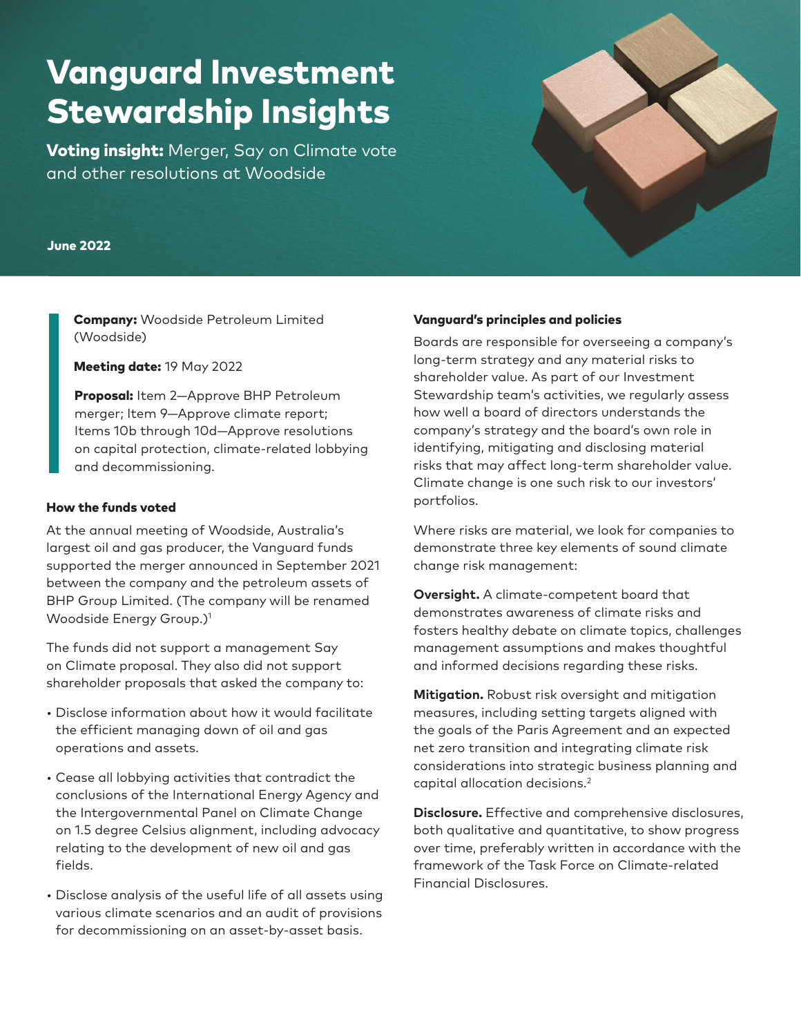# Vanguard Investment Stewardship Insights

**Voting insight:** Merger, Say on Climate vote and other resolutions at Woodside

### June 2022

Company: Woodside Petroleum Limited (Woodside)

Meeting date: 19 May 2022

Proposal: Item 2-Approve BHP Petroleum merger; Item 9—Approve climate report; Items 10b through 10d—Approve resolutions on capital protection, climate-related lobbying and decommissioning.

#### How the funds voted

At the annual meeting of Woodside, Australia's largest oil and gas producer, the Vanguard funds supported the merger announced in September 2021 between the company and the petroleum assets of BHP Group Limited. (The company will be renamed Woodside Energy Group.)1

The funds did not support a management Say on Climate proposal. They also did not support shareholder proposals that asked the company to:

- Disclose information about how it would facilitate the efficient managing down of oil and gas operations and assets.
- Cease all lobbying activities that contradict the conclusions of the International Energy Agency and the Intergovernmental Panel on Climate Change on 1.5 degree Celsius alignment, including advocacy relating to the development of new oil and gas fields.
- Disclose analysis of the useful life of all assets using various climate scenarios and an audit of provisions for decommissioning on an asset-by-asset basis.

#### Vanguard's principles and policies

Boards are responsible for overseeing a company's long-term strategy and any material risks to shareholder value. As part of our Investment Stewardship team's activities, we regularly assess how well a board of directors understands the company's strategy and the board's own role in identifying, mitigating and disclosing material risks that may affect long-term shareholder value. Climate change is one such risk to our investors' portfolios.

Where risks are material, we look for companies to demonstrate three key elements of sound climate change risk management:

**Oversight.** A climate-competent board that demonstrates awareness of climate risks and fosters healthy debate on climate topics, challenges management assumptions and makes thoughtful and informed decisions regarding these risks.

**Mitigation.** Robust risk oversight and mitigation measures, including setting targets aligned with the goals of the Paris Agreement and an expected net zero transition and integrating climate risk considerations into strategic business planning and capital allocation decisions.2

**Disclosure.** Effective and comprehensive disclosures, both qualitative and quantitative, to show progress over time, preferably written in accordance with the framework of the Task Force on Climate-related Financial Disclosures.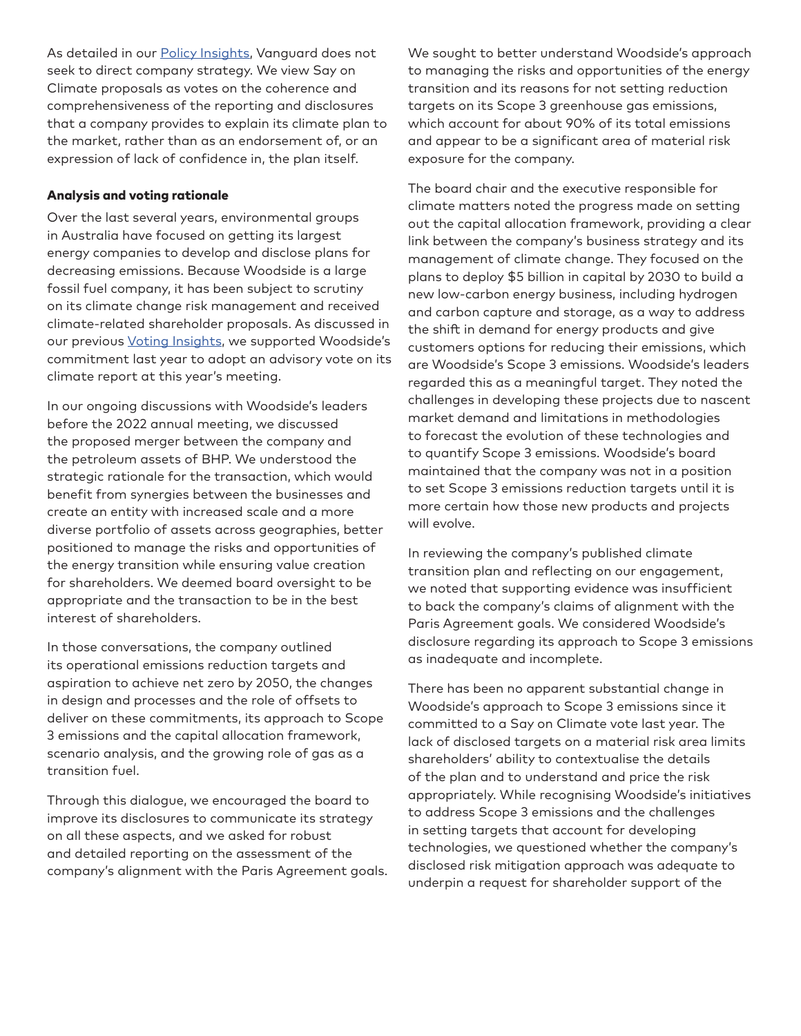As detailed in our **Policy Insights**, Vanguard does not seek to direct company strategy. We view Say on Climate proposals as votes on the coherence and comprehensiveness of the reporting and disclosures that a company provides to explain its climate plan to the market, rather than as an endorsement of, or an expression of lack of confidence in, the plan itself.

## Analysis and voting rationale

Over the last several years, environmental groups in Australia have focused on getting its largest energy companies to develop and disclose plans for decreasing emissions. Because Woodside is a large fossil fuel company, it has been subject to scrutiny on its climate change risk management and received climate-related shareholder proposals. As discussed in our previous [Voting Insights,](https://corporate.vanguard.com/content/dam/corp/advocate/investment-stewardship/pdf/perspectives-and-commentary/INSWOOD_042021.pdf) we supported Woodside's commitment last year to adopt an advisory vote on its climate report at this year's meeting.

In our ongoing discussions with Woodside's leaders before the 2022 annual meeting, we discussed the proposed merger between the company and the petroleum assets of BHP. We understood the strategic rationale for the transaction, which would benefit from synergies between the businesses and create an entity with increased scale and a more diverse portfolio of assets across geographies, better positioned to manage the risks and opportunities of the energy transition while ensuring value creation for shareholders. We deemed board oversight to be appropriate and the transaction to be in the best interest of shareholders.

In those conversations, the company outlined its operational emissions reduction targets and aspiration to achieve net zero by 2050, the changes in design and processes and the role of offsets to deliver on these commitments, its approach to Scope 3 emissions and the capital allocation framework, scenario analysis, and the growing role of gas as a transition fuel.

Through this dialogue, we encouraged the board to improve its disclosures to communicate its strategy on all these aspects, and we asked for robust and detailed reporting on the assessment of the company's alignment with the Paris Agreement goals. We sought to better understand Woodside's approach to managing the risks and opportunities of the energy transition and its reasons for not setting reduction targets on its Scope 3 greenhouse gas emissions, which account for about 90% of its total emissions and appear to be a significant area of material risk exposure for the company.

The board chair and the executive responsible for climate matters noted the progress made on setting out the capital allocation framework, providing a clear link between the company's business strategy and its management of climate change. They focused on the plans to deploy \$5 billion in capital by 2030 to build a new low-carbon energy business, including hydrogen and carbon capture and storage, as a way to address the shift in demand for energy products and give customers options for reducing their emissions, which are Woodside's Scope 3 emissions. Woodside's leaders regarded this as a meaningful target. They noted the challenges in developing these projects due to nascent market demand and limitations in methodologies to forecast the evolution of these technologies and to quantify Scope 3 emissions. Woodside's board maintained that the company was not in a position to set Scope 3 emissions reduction targets until it is more certain how those new products and projects will evolve.

In reviewing the company's published climate transition plan and reflecting on our engagement, we noted that supporting evidence was insufficient to back the company's claims of alignment with the Paris Agreement goals. We considered Woodside's disclosure regarding its approach to Scope 3 emissions as inadequate and incomplete.

There has been no apparent substantial change in Woodside's approach to Scope 3 emissions since it committed to a Say on Climate vote last year. The lack of disclosed targets on a material risk area limits shareholders' ability to contextualise the details of the plan and to understand and price the risk appropriately. While recognising Woodside's initiatives to address Scope 3 emissions and the challenges in setting targets that account for developing technologies, we questioned whether the company's disclosed risk mitigation approach was adequate to underpin a request for shareholder support of the